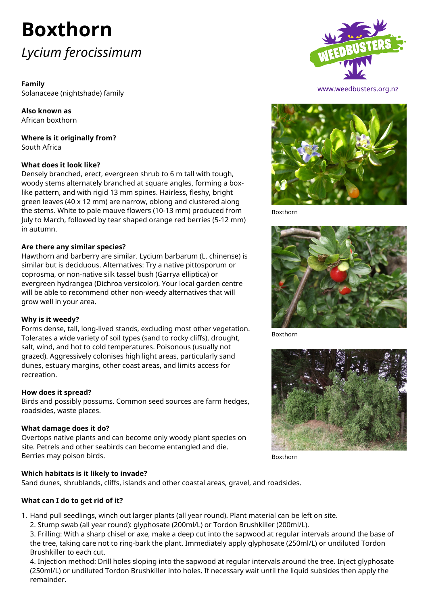# **Boxthorn** *Lycium ferocissimum*

### **Family**

Solanaceae (nightshade) family

**Also known as** African boxthorn

**Where is it originally from?** South Africa

### **What does it look like?**

Densely branched, erect, evergreen shrub to 6 m tall with tough, woody stems alternately branched at square angles, forming a boxlike pattern, and with rigid 13 mm spines. Hairless, fleshy, bright green leaves (40 x 12 mm) are narrow, oblong and clustered along the stems. White to pale mauve flowers (10-13 mm) produced from July to March, followed by tear shaped orange red berries (5-12 mm) in autumn.

#### **Are there any similar species?**

Hawthorn and barberry are similar. Lycium barbarum (L. chinense) is similar but is deciduous. Alternatives: Try a native pittosporum or coprosma, or non-native silk tassel bush (Garrya elliptica) or evergreen hydrangea (Dichroa versicolor). Your local garden centre will be able to recommend other non-weedy alternatives that will grow well in your area.

#### **Why is it weedy?**

Forms dense, tall, long-lived stands, excluding most other vegetation. Tolerates a wide variety of soil types (sand to rocky cliffs), drought, salt, wind, and hot to cold temperatures. Poisonous (usually not grazed). Aggressively colonises high light areas, particularly sand dunes, estuary margins, other coast areas, and limits access for recreation.

## **How does it spread?**

Birds and possibly possums. Common seed sources are farm hedges, roadsides, waste places.

#### **What damage does it do?**

Overtops native plants and can become only woody plant species on site. Petrels and other seabirds can become entangled and die. Berries may poison birds.

## **Which habitats is it likely to invade?**

Sand dunes, shrublands, cliffs, islands and other coastal areas, gravel, and roadsides.

## **What can I do to get rid of it?**

1. Hand pull seedlings, winch out larger plants (all year round). Plant material can be left on site.

2. Stump swab (all year round): glyphosate (200ml/L) or Tordon Brushkiller (200ml/L).

3. Frilling: With a sharp chisel or axe, make a deep cut into the sapwood at regular intervals around the base of the tree, taking care not to ring-bark the plant. Immediately apply glyphosate (250ml/L) or undiluted Tordon Brushkiller to each cut.

4. Injection method: Drill holes sloping into the sapwood at regular intervals around the tree. Inject glyphosate (250ml/L) or undiluted Tordon Brushkiller into holes. If necessary wait until the liquid subsides then apply the remainder.



www.weedbusters.org.nz



Boxthorn



Boxthorn



Boxthorn